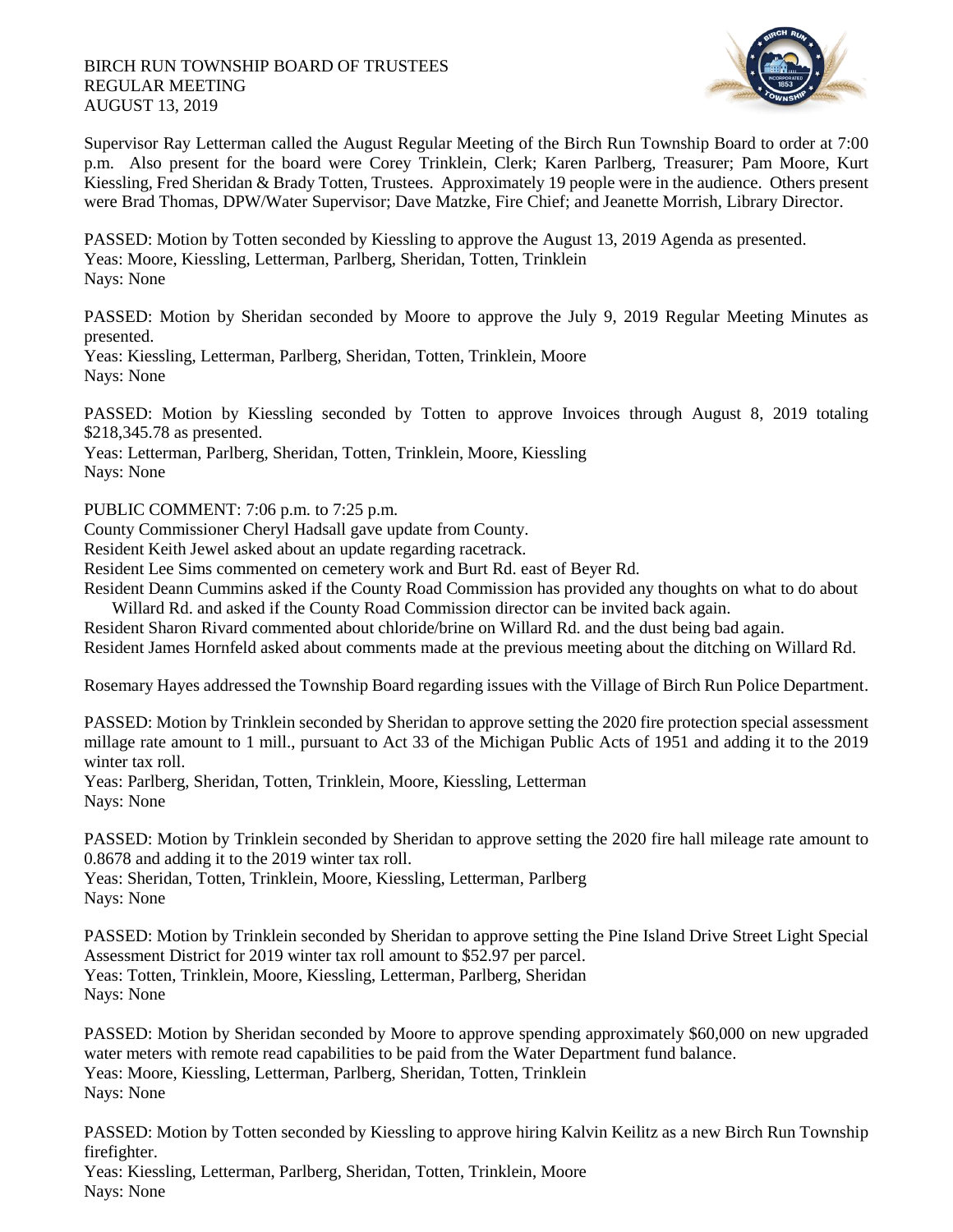## BIRCH RUN TOWNSHIP BOARD OF TRUSTEES REGULAR MEETING AUGUST 13, 2019



Supervisor Ray Letterman called the August Regular Meeting of the Birch Run Township Board to order at 7:00 p.m. Also present for the board were Corey Trinklein, Clerk; Karen Parlberg, Treasurer; Pam Moore, Kurt Kiessling, Fred Sheridan & Brady Totten, Trustees. Approximately 19 people were in the audience. Others present were Brad Thomas, DPW/Water Supervisor; Dave Matzke, Fire Chief; and Jeanette Morrish, Library Director.

PASSED: Motion by Totten seconded by Kiessling to approve the August 13, 2019 Agenda as presented. Yeas: Moore, Kiessling, Letterman, Parlberg, Sheridan, Totten, Trinklein Nays: None

PASSED: Motion by Sheridan seconded by Moore to approve the July 9, 2019 Regular Meeting Minutes as presented.

Yeas: Kiessling, Letterman, Parlberg, Sheridan, Totten, Trinklein, Moore Nays: None

PASSED: Motion by Kiessling seconded by Totten to approve Invoices through August 8, 2019 totaling \$218,345.78 as presented.

Yeas: Letterman, Parlberg, Sheridan, Totten, Trinklein, Moore, Kiessling Nays: None

PUBLIC COMMENT: 7:06 p.m. to 7:25 p.m.

County Commissioner Cheryl Hadsall gave update from County.

Resident Keith Jewel asked about an update regarding racetrack.

Resident Lee Sims commented on cemetery work and Burt Rd. east of Beyer Rd.

Resident Deann Cummins asked if the County Road Commission has provided any thoughts on what to do about Willard Rd. and asked if the County Road Commission director can be invited back again.

Resident Sharon Rivard commented about chloride/brine on Willard Rd. and the dust being bad again.

Resident James Hornfeld asked about comments made at the previous meeting about the ditching on Willard Rd.

Rosemary Hayes addressed the Township Board regarding issues with the Village of Birch Run Police Department.

PASSED: Motion by Trinklein seconded by Sheridan to approve setting the 2020 fire protection special assessment millage rate amount to 1 mill., pursuant to Act 33 of the Michigan Public Acts of 1951 and adding it to the 2019 winter tax roll.

Yeas: Parlberg, Sheridan, Totten, Trinklein, Moore, Kiessling, Letterman Nays: None

PASSED: Motion by Trinklein seconded by Sheridan to approve setting the 2020 fire hall mileage rate amount to 0.8678 and adding it to the 2019 winter tax roll.

Yeas: Sheridan, Totten, Trinklein, Moore, Kiessling, Letterman, Parlberg Nays: None

PASSED: Motion by Trinklein seconded by Sheridan to approve setting the Pine Island Drive Street Light Special Assessment District for 2019 winter tax roll amount to \$52.97 per parcel. Yeas: Totten, Trinklein, Moore, Kiessling, Letterman, Parlberg, Sheridan Nays: None

PASSED: Motion by Sheridan seconded by Moore to approve spending approximately \$60,000 on new upgraded water meters with remote read capabilities to be paid from the Water Department fund balance. Yeas: Moore, Kiessling, Letterman, Parlberg, Sheridan, Totten, Trinklein Nays: None

PASSED: Motion by Totten seconded by Kiessling to approve hiring Kalvin Keilitz as a new Birch Run Township firefighter.

Yeas: Kiessling, Letterman, Parlberg, Sheridan, Totten, Trinklein, Moore Nays: None